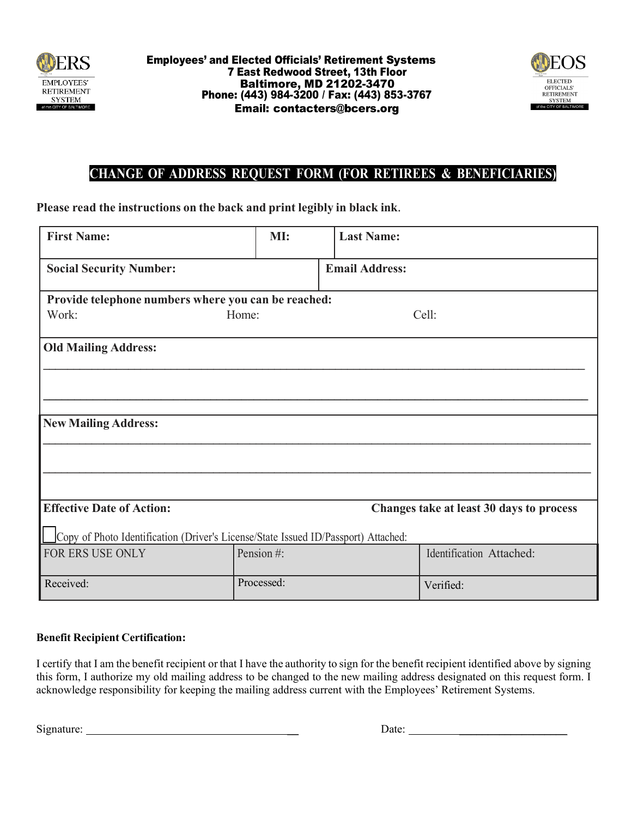



## **CHANGE OF ADDRESS REQUEST FORM (FOR RETIREES & BENEFICIARIES)**

**Please read the instructions on the back and print legibly in black ink**.

| <b>First Name:</b>                                                                 | MI:        | <b>Last Name:</b>     |                          |
|------------------------------------------------------------------------------------|------------|-----------------------|--------------------------|
| <b>Social Security Number:</b>                                                     |            | <b>Email Address:</b> |                          |
| Provide telephone numbers where you can be reached:                                |            |                       |                          |
| Work:<br>Home:                                                                     |            |                       | Cell:                    |
| <b>Old Mailing Address:</b>                                                        |            |                       |                          |
|                                                                                    |            |                       |                          |
| <b>New Mailing Address:</b>                                                        |            |                       |                          |
|                                                                                    |            |                       |                          |
|                                                                                    |            |                       |                          |
| <b>Effective Date of Action:</b><br>Changes take at least 30 days to process       |            |                       |                          |
| Copy of Photo Identification (Driver's License/State Issued ID/Passport) Attached: |            |                       |                          |
| FOR ERS USE ONLY                                                                   | Pension #: |                       | Identification Attached: |
| Received:                                                                          | Processed: |                       | Verified:                |

## **Benefit Recipient Certification:**

I certify that I am the benefit recipient or that I have the authority to sign for the benefit recipient identified above by signing this form, I authorize my old mailing address to be changed to the new mailing address designated on this request form. I acknowledge responsibility for keeping the mailing address current with the Employees' Retirement Systems.